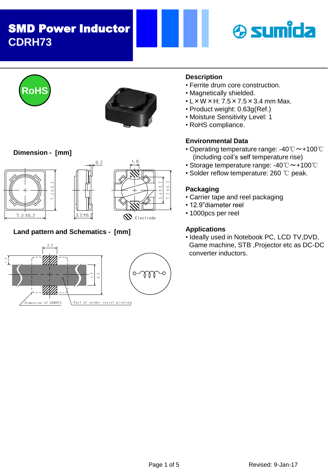## SMD Power Inductor **CDRH73**







## **Dimension - [mm]**







## **Land pattern and Schematics - [mm]**



## **Description**

- Ferrite drum core construction.
- Magnetically shielded.
- $\cdot$  L  $\times$  W  $\times$  H: 7.5  $\times$  7.5  $\times$  3.4 mm Max.
- Product weight: 0.63g(Ref.)
- Moisture Sensitivity Level: 1
- RoHS compliance.

## **Environmental Data**

- Operating temperature range: -40℃~+100℃ (including coil's self temperature rise)
- Storage temperature range: -40℃~+100℃
- Solder reflow temperature: 260 ℃ peak.

## **Packaging**

- Carrier tape and reel packaging
- 12.9"diameter reel
- 1000pcs per reel

## **Applications**

• Ideally used in Notebook PC, LCD TV,DVD, Game machine, STB ,Projector etc as DC-DC converter inductors.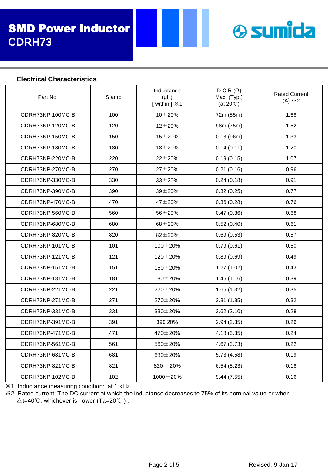

## **Electrical Characteristics**

| Part No.         | Stamp | Inductance<br>(HH)<br>[within ] $\divideontimes$ 1 | $D.C.R.(\Omega)$<br>Max. (Typ.)<br>(at $20^{\circ}$ ) | <b>Rated Current</b><br>$(A) \times 2$ |
|------------------|-------|----------------------------------------------------|-------------------------------------------------------|----------------------------------------|
| CDRH73NP-100MC-B | 100   | $10 + 20%$                                         | 72m (55m)                                             | 1.68                                   |
| CDRH73NP-120MC-B | 120   | $12 \pm 20%$                                       | 98m (75m)                                             | 1.52                                   |
| CDRH73NP-150MC-B | 150   | $15 + 20%$                                         | 0.13(96m)                                             | 1.33                                   |
| CDRH73NP-180MC-B | 180   | $18 + 20%$                                         | 0.14(0.11)                                            | 1.20                                   |
| CDRH73NP-220MC-B | 220   | $22 \pm 20%$                                       | 0.19(0.15)                                            | 1.07                                   |
| CDRH73NP-270MC-B | 270   | $27 + 20%$                                         | 0.21(0.16)                                            | 0.96                                   |
| CDRH73NP-330MC-B | 330   | $33 + 20%$                                         | 0.24(0.18)                                            | 0.91                                   |
| CDRH73NP-390MC-B | 390   | $39 + 20%$                                         | 0.32(0.25)                                            | 0.77                                   |
| CDRH73NP-470MC-B | 470   | $47 + 20%$                                         | 0.36(0.28)                                            | 0.76                                   |
| CDRH73NP-560MC-B | 560   | $56 + 20%$                                         | 0.47(0.36)                                            | 0.68                                   |
| CDRH73NP-680MC-B | 680   | $68 + 20%$                                         | 0.52(0.40)                                            | 0.61                                   |
| CDRH73NP-820MC-B | 820   | $82 + 20%$                                         | 0.69(0.53)                                            | 0.57                                   |
| CDRH73NP-101MC-B | 101   | $100 \pm 20 \%$                                    | 0.79(0.61)                                            | 0.50                                   |
| CDRH73NP-121MC-B | 121   | $120 \pm 20 \%$                                    | 0.89(0.69)                                            | 0.49                                   |
| CDRH73NP-151MC-B | 151   | $150 \pm 20\%$                                     | 1.27(1.02)                                            | 0.43                                   |
| CDRH73NP-181MC-B | 181   | $180 \pm 20 \%$                                    | 1.45(1.16)                                            | 0.39                                   |
| CDRH73NP-221MC-B | 221   | $220 \pm 20\%$                                     | 1.65(1.32)                                            | 0.35                                   |
| CDRH73NP-271MC-B | 271   | $270 \pm 20\%$                                     | 2.31(1.85)                                            | 0.32                                   |
| CDRH73NP-331MC-B | 331   | $330 \pm 20 \%$                                    | 2.62(2.10)                                            | 0.28                                   |
| CDRH73NP-391MC-B | 391   | 390 20%                                            | 2.94(2.35)                                            | 0.26                                   |
| CDRH73NP-471MC-B | 471   | $470 \pm 20\%$                                     | 4.18(3.35)                                            | 0.24                                   |
| CDRH73NP-561MC-B | 561   | $560 \pm 20 \%$                                    | 4.67 (3.73)                                           | 0.22                                   |
| CDRH73NP-681MC-B | 681   | $680 \pm 20 \%$                                    | 5.73(4.58)                                            | 0.19                                   |
| CDRH73NP-821MC-B | 821   | 820 $\pm$ 20%                                      | 6.54(5.23)                                            | 0.18                                   |
| CDRH73NP-102MC-B | 102   | $1000 \pm 20 \%$                                   | 9.44(7.55)                                            | 0.16                                   |

※1. Inductance measuring condition: at 1 kHz.

※2. Rated current: The DC current at which the inductance decreases to 75% of its nominal value or when △t=40℃, whichever is lower (Ta=20℃ ) .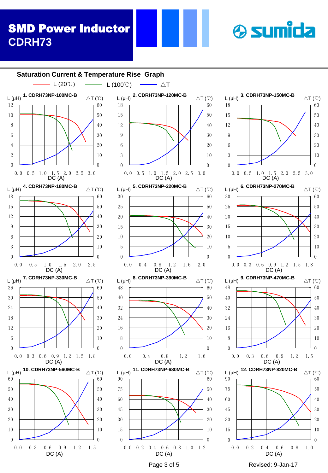## SMD Power Inductor **CDRH73**



**& sumida**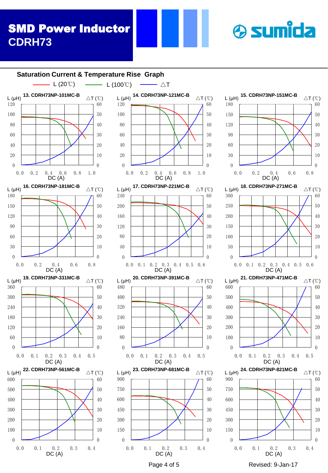## SMD Power Inductor **CDRH73**

# **& sumida**